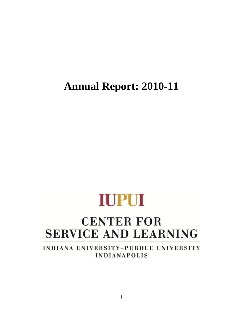**Annual Report: 2010-11**

# **IUPUI**

## **CENTER FOR SERVICE AND LEARNING**

INDIANA UNIVERSITY-PURDUE UNIVERSITY **INDIANAPOLIS**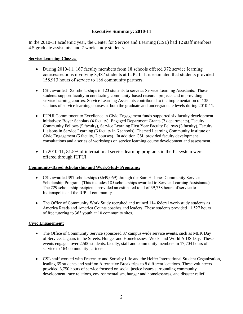#### **Executive Summary: 2010-11**

In the 2010-11 academic year, the Center for Service and Learning (CSL) had 12 staff members 4.5 graduate assistants, and 7 work-study students.

#### **Service Learning Classes:**

- During 2010-11, 167 faculty members from 18 schools offered 372 service learning courses/sections involving 8,487 students at IUPUI. It is estimated that students provided 158,913 hours of service to 186 community partners.
- CSL awarded 185 scholarships to 123 students to serve as Service Learning Assistants. These students support faculty in conducting community-based research projects and in providing service learning courses. Service Learning Assistants contributed to the implementation of 135 sections of service learning courses at both the graduate and undergraduate levels during 2010-11.
- IUPUI Commitment to Excellence in Civic Engagement funds supported six faculty development initiatives: Boyer Scholars (4 faculty), Engaged Department Grants (3 departments), Faculty Community Fellows (5 faculty), Service Learning First Year Faculty Fellows (3 faculty), Faculty Liaisons in Service Learning (6 faculty in 6 schools), Themed Learning Community Institute on Civic Engagement (5 faculty, 2 courses). In addition CSL provided faculty development consultations and a series of workshops on service learning course development and assessment.
- In 2010-11, 81.5% of international service learning programs in the IU system were offered through IUPUI.

#### **Community-Based Scholarship and Work-Study Programs:**

- CSL awarded 397 scholarships (\$649,069) through the Sam H. Jones Community Service Scholarship Program. (This includes 185 scholarships awarded to Service Learning Assistants.) The 229 scholarship recipients provided an estimated total of 39,738 hours of service to Indianapolis and the IUPUI community.
- The Office of Community Work Study recruited and trained 114 federal work-study students as America Reads and America Counts coaches and leaders. These students provided 11,527 hours of free tutoring to 363 youth at 10 community sites.

#### **Civic Engagement:**

- The Office of Community Service sponsored 37 campus-wide service events, such as MLK Day of Service, Jaguars in the Streets, Hunger and Homelessness Week, and World AIDS Day. These events engaged over 2,500 students, faculty, staff and community members in 17,704 hours of service to 164 community partners.
- CSL staff worked with Fraternity and Sorority Life and the Heifer International Student Organization, leading 65 students and staff on Alternative Break trips to 8 different locations. These volunteers provided 6,750 hours of service focused on social justice issues surrounding community development, race relations, environmentalism, hunger and homelessness, and disaster relief.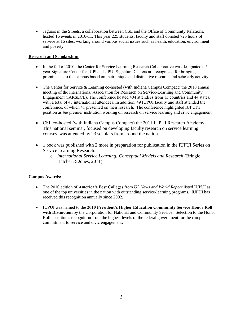• Jaguars in the Streets, a collaboration between CSL and the Office of Community Relations, hosted 16 events in 2010-11. This year 225 students, faculty and staff donated 725 hours of service at 16 sites, working around various social issues such as health, education, environment and poverty.

#### **Research and Scholarship:**

- In the fall of 2010, the Center for Service Learning Research Collaborative was designated a 5year Signature Center for IUPUI. IUPUI Signature Centers are recognized for bringing prominence to the campus based on their unique and distinctive research and scholarly activity.
- The Center for Service & Learning co-hosted (with Indiana Campus Compact) the 2010 annual meeting of the International Association for Research on Service-Learning and Community Engagement (IARSLCE). The conference hosted 404 attendees from 13 countries and 44 states, with a total of 43 international attendees. In addition, 49 IUPUI faculty and staff attended the conference, of which 41 presented on their research. The conference highlighted IUPUI's position as *the* premier institution working on research on service learning and civic engagement.
- CSL co-hosted (with Indiana Campus Compact) the 2011 IUPUI Research Academy. This national seminar, focused on developing faculty research on service learning courses, was attended by 23 scholars from around the nation.
- 1 book was published with 2 more in preparation for publication in the IUPUI Series on Service Learning Research:
	- o *International Service Learning: Conceptual Models and Research* (Bringle, Hatcher & Jones, 2011)

#### **Campus Awards:**

- The 2010 edition of **America's Best Colleges** from *US News and World Report* listed IUPUI as one of the top universities in the nation with outstanding service-learning programs. IUPUI has received this recognition annually since 2002.
- IUPUI was named to the **2010 President's Higher Education Community Service Honor Roll with Distinction** by the Corporation for National and Community Service. Selection to the Honor Roll constitutes recognition from the highest levels of the federal government for the campus commitment to service and civic engagement.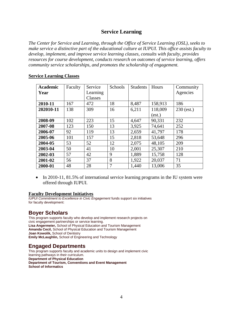## **Service Learning**

*The Center for Service and Learning, through the Office of Service Learning (OSL), seeks to make service a distinctive part of the educational culture at IUPUI. This office assists faculty to develop, implement, and improve service learning classes, consults with faculty, provides resources for course development, conducts research on outcomes of service learning, offers community service scholarships, and promotes the scholarship of engagement.* 

| <b>Academic</b> | Faculty | Service  | Schools | <b>Students</b> | Hours   | Community    |
|-----------------|---------|----------|---------|-----------------|---------|--------------|
| Year            |         | Learning |         |                 |         | Agencies     |
|                 |         | Classes  |         |                 |         |              |
| 2010-11         | 167     | 472      | 18      | 8,487           | 158,913 | 186          |
| 202010-11       | 138     | 309      | 16      | 6,211           | 118,009 | $230$ (est.) |
|                 |         |          |         |                 | (est.)  |              |
| 2008-09         | 102     | 223      | 15      | 4,647           | 90,331  | 232          |
| 2007-08         | 123     | 150      | 13      | 3,925           | 74,641  | 252          |
| 2006-07         | 92      | 119      | 13      | 2,659           | 41,797  | 178          |
| 2005-06         | 101     | 157      | 15      | 2,818           | 53,648  | 296          |
| 2004-05         | 53      | 52       | 12      | 2,075           | 48,105  | 209          |
| 2003-04         | 50      | 41       | 10      | 2,001           | 25,307  | 210          |
| 2002-03         | 57      | 42       | 9       | 1,889           | 15,758  | 128          |
| 2001-02         | 56      | 37       | 8       | 1,922           | 20,037  | 71           |
| 2000-01         | 48      | 28       | 7       | 1,440           | 13,006  | 35           |

#### **Service Learning Classes**

• In 2010-11, 81.5% of international service learning programs in the IU system were offered through IUPUI.

#### **Faculty Development Initiatives**

*IUPUI Commitment to Excellence in Civic Engagement* funds support six initiatives for faculty development:

## **Boyer Scholars**

This program supports faculty who develop and implement research projects on civic engagement partnerships or service learning. **Lisa Angermeier,** School of Physical Education and Tourism Management **Amanda Cecil,** School of Physical Education and Tourism Management **Joan Kowolik,** School of Dentistry **Emily McLaughlin,** School of Engineering and Technology

## **Engaged Departments**

This program supports faculty and academic units to design and implement civic learning pathways in their curriculum. **Department of Physical Education Department of Tourism, Conventions and Event Management School of Informatics**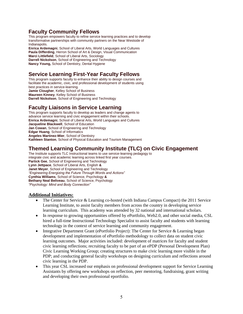## **Faculty Community Fellows**

This program empowers faculty to refine service learning practices and to develop transformative partnerships with community partners on the Near Westside of Indianapolis. **Enrica Ardemagni**, School of Liberal Arts, World Languages and Cultures

**Paula Differding**, Herron School of Art & Design, Visual Communication **Marci Littlefield**, School of Liberal Arts, Sociology **Darrell Nickolson**, School of Engineering and Technology **Nancy Young,** School of Dentistry, Dental Hygiene

## **Service Learning First-Year Faculty Fellows**

This program supports faculty to enhance their ability to design courses and facilitate the academic, civic, and professional development of students using best practices in service-learning. **Jamie Clougher**, Kelley School of Business **Maureen Kinney**, Kelley School of Business **Darrell Nickolson**, School of Engineering and Technology

## **Faculty Liaisons in Service Learning**

This program supports faculty to develop as leaders and change agents to advance service learning and civic engagement within their schools. **Enrica Ardemagni**, School of Liberal Arts, World Languages and Cultures **Jacqueline Blackwell**, School of Education **Jan Cowan**, School of Engineering and Technology **Edgar Huang**, School of Informatics **Angeles Martinez-Mier**, School of Dentistry **Kathleen Stanton**, School of Physical Education and Tourism Management

## **Themed Learning Community Institute (TLC) on Civic Engagement**

The Institute supports TLC Instructional teams to use service-learning pedagogy to integrate civic and academic learning across linked first year courses. **Partick Gee**, School of Engineering and Technology **Lynn Jettpace**, School of Liberal Arts, English **& Janet Meyer**, School of Engineering and Technology *"Engineering Energizing the Future Through Words and Actions"* **Cynthia Williams**, School of Science, Psychology **& Bethany Neal Beliveau**, School of Science, Psychology *"Psychology: Mind and Body Connection"*

#### **Additional Initiatives:**

- The Center for Service & Learning co-hosted (with Indiana Campus Compact) the 2011 Service Learning Institute, to assist faculty members from across the country in developing service learning curriculum. This academy was attended by 32 national and international scholars.
- In response to growing opportunities offered by ePortfolio, Web2.0, and other social media, CSL hired a full-time Instructional Technology Specialist to assist faculty and students with learning technology in the context of service learning and community engagement.
- Integrative Department Grant (ePortfolio Project): The Center for Service & Learning began development and implementation of ePortfolio methodology to collect data on student civic learning outcomes. Major activities included: development of matrices for faculty and student civic learning reflections; recruiting faculty to be part of an ePDP (Personal Development Plan) Civic Learning Working Group; creating structures to make civic learning more visible in the PDP; and conducting general faculty workshops on designing curriculum and reflections around civic learning in the PDP.
- This year CSL increased our emphasis on professional development support for Service Learning Assistants by offering new workshops on reflection, peer mentoring, fundraising, grant writing and developing their own professional eportfolio.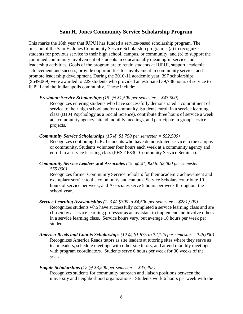#### **Sam H. Jones Community Service Scholarship Program**

This marks the 18th year that IUPUI has funded a service-based scholarship program. The mission of the Sam H. Jones Community Service Scholarship program is (a) to recognize students for previous service to their high school, campus, or community, and (b) to support the continued community involvement of students in educationally meaningful service and leadership activities. Goals of the program are to retain students at IUPUI, support academic achievement and success, provide opportunities for involvement in community service, and promote leadership development. During the 2010-11 academic year, 397 scholarships (\$649,069) were awarded to 229 students who provided an estimated 39,738 hours of service to IUPUI and the Indianapolis community. These include:

#### *Freshman Service Scholarships (15 @ \$1,500 per semester = \$43,500)*

Recognizes entering students who have successfully demonstrated a commitment of service to their high school and/or community. Students enroll in a service learning class (B104 Psychology as a Social Science), contribute three hours of service a week at a community agency, attend monthly meetings, and participate in group service projects.

#### *Community Service Scholarships (15 @ \$1,750 per semester = \$52,500)*

Recognizes continuing IUPUI students who have demonstrated service to the campus or community. Students volunteer four hours each week at a community agency and enroll in a service learning class (PHST P330: Community Service Seminar).

*Community Service Leaders* **and** *Associates (15 @ \$1,000 to \$2,000 per semester = \$55,000)*

Recognizes former Community Service Scholars for their academic achievement and exemplary service to the community and campus. Service Scholars contribute 10 hours of service per week, and Associates serve 5 hours per week throughout the school year.

- *Service Learning Assistantships (123 @ \$300 to \$4,500 per semester = \$281,900)* Recognizes students who have successfully completed a service learning class and are chosen by a service learning professor as an assistant to implement and involve others in a service learning class. Service hours vary, but average 10 hours per week per student.
- *America Reads and Counts Scholarships (12 @ \$1,875 to \$2,125 per semester = \$46,000)* Recognizes America Reads tutors as site leaders at tutoring sites where they serve as team leaders, schedule meetings with other site tutors, and attend monthly meetings with program coordinators. Students serve 6 hours per week for 30 weeks of the year.

#### *Fugate Scholarships (12 @ \$3,500 per semester = \$43,495)*

Recognizes students for community outreach and liaison positions between the university and neighborhood organizations. Students work 6 hours per week with the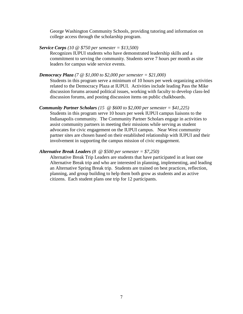George Washington Community Schools, providing tutoring and information on college access through the scholarship program.

*Service Corps (10 @ \$750 per semester = \$13,500)*

Recognizes IUPUI students who have demonstrated leadership skills and a commitment to serving the community. Students serve 7 hours per month as site leaders for campus wide service events.

*Democracy Plaza (7 @ \$1,000 to \$2,000 per semester = \$21,000)*

Students in this program serve a minimum of 10 hours per week organizing activities related to the Democracy Plaza at IUPUI. Activities include leading Pass the Mike discussion forums around political issues, working with faculty to develop class-led discussion forums, and posting discussion items on public chalkboards.

#### *Community Partner Scholars (15 @ \$600 to \$2,000 per semester = \$41,225)*

Students in this program serve 10 hours per week IUPUI campus liaisons to the Indianapolis community. The Community Partner Scholars engage in activities to assist community partners in meeting their missions while serving as student advocates for civic engagement on the IUPUI campus. Near West community partner sites are chosen based on their established relationship with IUPUI and their involvement in supporting the campus mission of civic engagement.

#### *Alternative Break Leaders (8 @ \$500 per semester = \$7,250)*

Alternative Break Trip Leaders are students that have participated in at least one Alternative Break trip and who are interested in planning, implementing, and leading an Alternative Spring Break trip. Students are trained on best practices, reflection, planning, and group building to help them both grow as students and as active citizens. Each student plans one trip for 12 participants.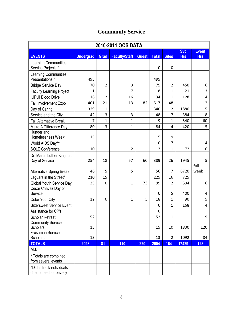## **Community Service**

| 2010-2011 OCS DATA                                          |                  |                |                      |              |              |                |            |                |  |
|-------------------------------------------------------------|------------------|----------------|----------------------|--------------|--------------|----------------|------------|----------------|--|
|                                                             |                  |                |                      |              |              |                | <b>Svc</b> | <b>Event</b>   |  |
| <b>EVENTS</b>                                               | <b>Undergrad</b> | <b>Grad</b>    | <b>Faculty/Staff</b> | <b>Guest</b> | <b>Total</b> | <b>Sites</b>   | <b>Hrs</b> | <b>Hrs</b>     |  |
| <b>Learning Communities</b><br>Service Projects *           |                  |                |                      |              | 0            | 0              |            |                |  |
| Learning Communities<br>Presentations *                     | 495              |                |                      |              | 495          |                |            |                |  |
| <b>Bridge Service Day</b>                                   | 70               | $\overline{2}$ | 3                    |              | 75           | $\overline{2}$ | 450        | 6              |  |
| <b>Faculty Learning Project</b>                             | $\mathbf{1}$     |                | 7                    |              | 8            | $\mathbf{1}$   | 21         | 3              |  |
| <b>IUPUI Blood Drive</b>                                    | 16               | $\overline{2}$ | 16                   |              | 34           | $\mathbf{1}$   | 128        | 4              |  |
| Fall Involvement Expo                                       | 401              | 21             | 13                   | 82           | 517          | 48             |            | $\overline{2}$ |  |
| Day of Caring                                               | 329              | 11             |                      |              | 340          | 12             | 1880       | 5              |  |
| Service and the City                                        | 42               | 3              | 3                    |              | 48           | 7              | 384        | 8              |  |
| <b>Fall Alternative Break</b>                               | $\overline{7}$   | $\mathbf{1}$   | $\mathbf{1}$         |              | 9            | $\mathbf{1}$   | 540        | 60             |  |
| Make A Difference Day                                       | 80               | 3              | $\mathbf{1}$         |              | 84           | 4              | 420        | 5              |  |
| Hunger and<br>Homelessness Week*                            | 15               |                |                      |              | 15           | 9              |            |                |  |
| World AIDS Day*^                                            |                  |                |                      |              | $\mathbf 0$  | $\overline{7}$ |            | $\overline{4}$ |  |
| <b>SOLE Conference</b>                                      | 10               |                | $\overline{2}$       |              | 12           | $\mathbf{1}$   | 72         | 6              |  |
| Dr. Martin Luther King, Jr.                                 |                  |                |                      |              |              |                |            |                |  |
| Day of Service                                              | 254              | 18             | 57                   | 60           | 389          | 26             | 1945       | 5              |  |
| <b>Alternative Spring Break</b>                             | 46               | 5              | 5                    |              | 56           | $\overline{7}$ | 6720       | full<br>week   |  |
| Jaguars in the Street*                                      | 210              | 15             |                      |              | 225          | 16             | 725        |                |  |
| <b>Global Youth Service Day</b>                             | 25               | 0              | $\mathbf{1}$         | 73           | 99           | $\overline{2}$ | 594        | 6              |  |
| Cesar Chavez Day of<br>Service                              |                  |                |                      |              | 0            | 5              | 400        | 4              |  |
| Color Your City                                             | 12               | 0              | $\mathbf{1}$         | 5            | 18           | $\mathbf{1}$   | 90         | 5              |  |
| <b>Bittersweet Service Event</b>                            |                  |                |                      |              | 0            | $\mathbf{1}$   | 168        | 4              |  |
| Assistance for CP's                                         |                  |                |                      |              | $\mathbf 0$  |                |            |                |  |
| <b>Scholar Retreat</b>                                      | 52               |                |                      |              | 52           | $\mathbf 1$    |            | 19             |  |
| <b>Community Service</b><br>Scholars                        | 15               |                |                      |              | 15           | 10             | 1800       | 120            |  |
| Freshman Service                                            |                  |                |                      |              |              |                |            |                |  |
| Scholars                                                    | 13               |                |                      |              | 13           | $\overline{2}$ | 1092       | 84             |  |
| <b>TOTALS</b>                                               | 2093             | 81             | 110                  | 220          | 2504         | 164            | 17429      | 123            |  |
| <b>ALL</b>                                                  |                  |                |                      |              |              |                |            |                |  |
| * Totals are combined<br>from several events                |                  |                |                      |              |              |                |            |                |  |
| <b>^Didn't track individuals</b><br>due to need for privacy |                  |                |                      |              |              |                |            |                |  |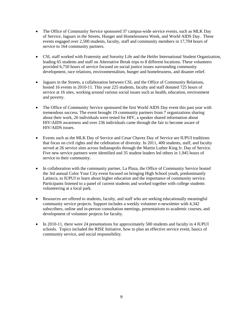- The Office of Community Service sponsored 37 campus-wide service events, such as MLK Day of Service, Jaguars in the Streets, Hunger and Homelessness Week, and World AIDS Day. These events engaged over 2,500 students, faculty, staff and community members in 17,704 hours of service to 164 community partners.
- CSL staff worked with Fraternity and Sorority Life and the Heifer International Student Organization, leading 65 students and staff on Alternative Break trips to 8 different locations. These volunteers provided 6,750 hours of service focused on social justice issues surrounding community development, race relations, environmentalism, hunger and homelessness, and disaster relief.
- Jaguars in the Streets, a collaboration between CSL and the Office of Community Relations, hosted 16 events in 2010-11. This year 225 students, faculty and staff donated 725 hours of service at 16 sites, working around various social issues such as health, education, environment and poverty.
- The Office of Community Service sponsored the first World AIDS Day event this past year with tremendous success. The event brought 19 community partners from 7 organizations sharing about their work, 26 individuals were tested for HIV, a speaker shared information about HIV/AIDS awareness and over 236 individuals came through the fair to become aware of HIV/AIDS issues.
- Events such as the MLK Day of Service and Cesar Chavez Day of Service are IUPUI traditions that focus on civil rights and the celebration of diversity. In 2011, 400 students, staff, and faculty served at 26 service sites across Indianapolis through the Martin Luther King Jr. Day of Service. Five new service partners were identified and 35 student leaders led others in 1,945 hours of service to their community.
- In collaboration with the community partner, La Plaza, the Office of Community Service hosted the 3rd annual Color Your City event focused on bringing High School youth, predominantly Latino/a, to IUPUI to learn about higher education and the importance of community service. Participants listened to a panel of current students and worked together with college students volunteering at a local park.
- Resources are offered to students, faculty, and staff who are seeking educationally meaningful community service projects. Support includes a weekly volunteer e-newsletter with 4,342 subscribers, online and in-person consultation meetings, presentations to academic courses, and development of volunteer projects for faculty.
- In 2010-11, there were 24 presentations for approximately 500 students and faculty in 4 IUPUI schools. Topics included the RISE Initiative, how to plan an effective service event, basics of community service, and social responsibility.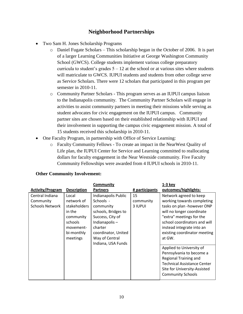## **Neighborhood Partnerships**

- Two Sam H. Jones Scholarship Programs
	- o Daniel Fugate Scholars This scholarship began in the October of 2006. It is part of a larger Learning Communities Initiative at George Washington Community School (GWCS). College students implement various college preparatory curricula to student's grades  $5 - 12$  at the school or at various sites where students will matriculate to GWCS. IUPUI students and students from other college serve as Service Scholars. There were 12 scholars that participated in this program per semester in 2010-11.
	- o Community Partner Scholars This program serves as an IUPUI campus liaison to the Indianapolis community. The Community Partner Scholars will engage in activities to assist community partners in meeting their missions while serving as student advocates for civic engagement on the IUPUI campus. Community partner sites are chosen based on their established relationship with IUPUI and their involvement in supporting the campus civic engagement mission. A total of 15 students received this scholarship in 2010-11.
- One Faculty Program, in partnership with Office of Service Learning:
	- o Faculty Community Fellows To create an impact in the NearWest Quality of Life plan, the IUPUI Center for Service and Learning committed to reallocating dollars for faculty engagement in the Near Westside community. Five Faculty Community Fellowships were awarded from 4 IUPUI schools in 2010-11.

|                                                        |                                                                                                  | <b>Community</b>                                                                                                                            |                            | 1-3 key                                                                                                                                                                                                                                  |
|--------------------------------------------------------|--------------------------------------------------------------------------------------------------|---------------------------------------------------------------------------------------------------------------------------------------------|----------------------------|------------------------------------------------------------------------------------------------------------------------------------------------------------------------------------------------------------------------------------------|
| <b>Activity/Program</b>                                | <b>Description</b>                                                                               | <b>Partners</b>                                                                                                                             | # participants             | outcomes/highlights:                                                                                                                                                                                                                     |
| Central Indiana<br>Community<br><b>Schools Network</b> | Local<br>network of<br>stakeholders<br>in the<br>community<br>schools<br>movement-<br>bi-monthly | Indianapolis Public<br>Schools -<br>community<br>schools, Bridges to<br>Success, City of<br>Indianapolis-<br>charter<br>coordinator, United | 15<br>community<br>3 IUPUI | Network agreed to keep<br>working towards completing<br>tasks on plan -however ONP<br>will no longer coordinate<br>"extra" meetings for the<br>school coordinators and will<br>instead integrate into an<br>existing coordinator meeting |
|                                                        | meetings                                                                                         | Way of Central<br>Indiana, USA Funds                                                                                                        |                            | at GW.<br>Applied to University of<br>Pennsylvania to become a<br><b>Regional Training and</b><br><b>Technical Assistance Center</b><br>Site for University-Assisted<br><b>Community Schools</b>                                         |

#### **Other Community Involvement:**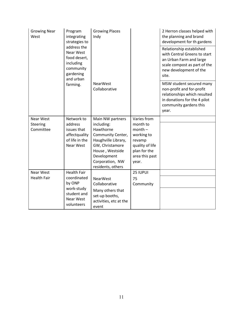| <b>Growing Near</b><br>West | Program<br>integrating<br>strategies to<br>address the<br>Near West<br>food desert,<br>including<br>community<br>gardening<br>and urban | <b>Growing Places</b><br>Indy        |                         | 2 Herron classes helped with<br>the planning and brand<br>development for th gardens<br>Relationship established<br>with Central Greens to start<br>an Urban Farm and large<br>scale compost as part of the<br>new development of the<br>site. |
|-----------------------------|-----------------------------------------------------------------------------------------------------------------------------------------|--------------------------------------|-------------------------|------------------------------------------------------------------------------------------------------------------------------------------------------------------------------------------------------------------------------------------------|
|                             | farming.                                                                                                                                | <b>NearWest</b><br>Collaborative     |                         | MSW student secured many<br>non-profit and for-profit<br>relationships which resulted<br>in donations for the 4 pilot<br>community gardens this<br>year.                                                                                       |
| Near West                   | Network to                                                                                                                              | Main NW partners                     | Varies from             |                                                                                                                                                                                                                                                |
| Steering                    | address                                                                                                                                 | including:                           | month to                |                                                                                                                                                                                                                                                |
| Committee                   | issues that<br>affectquality                                                                                                            | Hawthorne<br>Community Center,       | $month -$<br>working to |                                                                                                                                                                                                                                                |
|                             | of life in the                                                                                                                          | Haughville Library,                  | revamp                  |                                                                                                                                                                                                                                                |
|                             | <b>Near West</b>                                                                                                                        | GW, Christamore                      | quality of life         |                                                                                                                                                                                                                                                |
|                             |                                                                                                                                         | House, Westside                      | plan for the            |                                                                                                                                                                                                                                                |
|                             |                                                                                                                                         | Development                          | area this past          |                                                                                                                                                                                                                                                |
|                             |                                                                                                                                         | Corporation, NW<br>residents, others | year.                   |                                                                                                                                                                                                                                                |
| Near West                   | <b>Health Fair</b>                                                                                                                      |                                      | 25 IUPUI                |                                                                                                                                                                                                                                                |
| <b>Health Fair</b>          | coordinated                                                                                                                             | <b>NearWest</b>                      | 75                      |                                                                                                                                                                                                                                                |
|                             | by ONP                                                                                                                                  | Collaborative                        | Community               |                                                                                                                                                                                                                                                |
|                             | work-study                                                                                                                              | Many others that                     |                         |                                                                                                                                                                                                                                                |
|                             | student and<br>Near West                                                                                                                | set-up booths,                       |                         |                                                                                                                                                                                                                                                |
|                             | volunteers                                                                                                                              | activities, etc at the<br>event      |                         |                                                                                                                                                                                                                                                |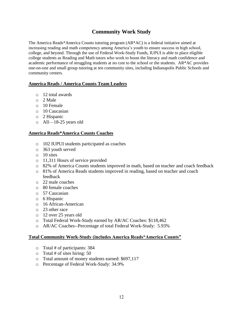## **Community Work Study**

The America Reads\*America Counts tutoring program (AR\*AC) is a federal initiative aimed at increasing reading and math competency among America's youth to ensure success in high school, college, and beyond. Through the use of Federal Work-Study Funds, IUPUI is able to place eligible college students as Reading and Math tutors who work to boost the literacy and math confidence and academic performance of struggling students at no cost to the school or the students. AR\*AC provides one-on-one and small group tutoring at ten community sites, including Indianapolis Public Schools and community centers.

#### **America Reads / America Counts Team Leaders**

- o 12 total awards
- o 2 Male
- o 10 Female
- o 10 Caucasian
- o 2 Hispanic
- o All—18-25 years old

#### **America Reads\*America Counts Coaches**

- o 102 IUPUI students participated as coaches
- o 363 youth served
- o 10 sites
- o 11,311 Hours of service provided
- o 82% of America Counts students improved in math, based on teacher and coach feedback
- o 81% of America Reads students improved in reading, based on teacher and coach feedback
- o 22 male coaches
- o 80 female coaches
- o 57 Caucasian
- o 6 Hispanic
- o 16 African-American
- o 23 other race
- o 12 over 25 years old
- o Total Federal Work-Study earned by AR/AC Coaches: \$118,462
- o AR/AC Coaches--Percentage of total Federal Work-Study: 5.93%

#### **Total Community Work-Study (includes America Reads\*America Counts"**

- o Total # of participants: 384
- $\circ$  Total # of sites hiring: 50
- o Total amount of money students earned: \$697,117
- o Percentage of Federal Work-Study: 34.9%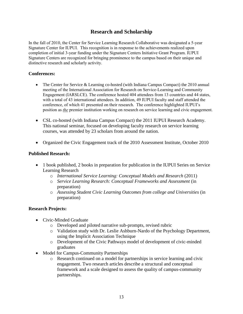## **Research and Scholarship**

In the fall of 2010, the Center for Service Learning Research Collaborative was designated a 5-year Signature Center for IUPUI. This recognition is in response to the achievements realized upon completion of initial 3-year funding under the Signature Centers Initiative Grant Program. IUPUI Signature Centers are recognized for bringing prominence to the campus based on their unique and distinctive research and scholarly activity.

#### **Conferences:**

- The Center for Service & Learning co-hosted (with Indiana Campus Compact) the 2010 annual meeting of the International Association for Research on Service-Learning and Community Engagement (IARSLCE). The conference hosted 404 attendees from 13 countries and 44 states, with a total of 43 international attendees. In addition, 49 IUPUI faculty and staff attended the conference, of which 41 presented on their research. The conference highlighted IUPUI's position as *the* premier institution working on research on service learning and civic engagement.
- CSL co-hosted (with Indiana Campus Compact) the 2011 IUPUI Research Academy. This national seminar, focused on developing faculty research on service learning courses, was attended by 23 scholars from around the nation.
- Organized the Civic Engagement track of the 2010 Assessment Institute, October 2010

#### **Published Research:**

- 1 book published, 2 books in preparation for publication in the IUPUI Series on Service Learning Research
	- o *International Service Learning: Conceptual Models and Research* (2011)
	- o *Service Learning Research: Conceptual Frameworks and Assessment* (in preparation)
	- o *Assessing Student Civic Learning Outcomes from college and Universities* (in preparation)

#### **Research Projects:**

- Civic-Minded Graduate
	- o Developed and piloted narrative sub-prompts, revised rubric
	- o Validation study with Dr. Leslie Ashburn-Nardo of the Psychology Department, using the Implicit Association Technique
	- o Development of the Civic Pathways model of development of civic-minded graduates
- Model for Campus-Community Partnerships
	- o Research continued on a model for partnerships in service learning and civic engagement. Two research articles describe a structural and conceptual framework and a scale designed to assess the quality of campus-community partnerships.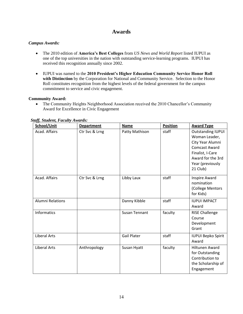## **Awards**

#### *Campus Awards:*

- The 2010 edition of **America's Best Colleges** from *US News and World Report* listed IUPUI as one of the top universities in the nation with outstanding service-learning programs. IUPUI has received this recognition annually since 2002.
- IUPUI was named to the **2010 President's Higher Education Community Service Honor Roll with Distinction** by the Corporation for National and Community Service. Selection to the Honor Roll constitutes recognition from the highest levels of the federal government for the campus commitment to service and civic engagement.

#### **Community Award:**

• The Community Heights Neighborhood Association received the 2010 Chancellor's Community Award for Excellence in Civic Engagement

| School/Unit             | <b>Department</b> | <b>Name</b>          | <b>Position</b> | <b>Award Type</b>                                                                                                                                              |
|-------------------------|-------------------|----------------------|-----------------|----------------------------------------------------------------------------------------------------------------------------------------------------------------|
| Acad. Affairs           | Ctr Svc & Lrng    | Patty Mathison       | staff           | <b>Outstanding IUPUI</b><br>Woman Leader,<br>City Year Alumni<br><b>Comcast Award</b><br>Finalist, I-Care<br>Award for the 3rd<br>Year (previously<br>21 Club) |
| Acad. Affairs           | Ctr Svc & Lrng    | Libby Laux           | staff           | <b>Inspire Award</b><br>nomination<br>(College Mentors<br>for Kids)                                                                                            |
| <b>Alumni Relations</b> |                   | Danny Kibble         | staff           | <b>IUPUI IMPACT</b><br>Award                                                                                                                                   |
| Informatics             |                   | <b>Susan Tennant</b> | faculty         | <b>RISE Challenge</b><br>Course<br>Development<br>Grant                                                                                                        |
| <b>Liberal Arts</b>     |                   | <b>Gail Plater</b>   | staff           | <b>IUPUI Bepko Spirit</b><br>Award                                                                                                                             |
| <b>Liberal Arts</b>     | Anthropology      | Susan Hyatt          | faculty         | <b>Hiltunen Award</b><br>for Outstanding<br>Contribution to<br>the Scholarship of<br>Engagement                                                                |

#### *Staff, Student, Faculty Awards:*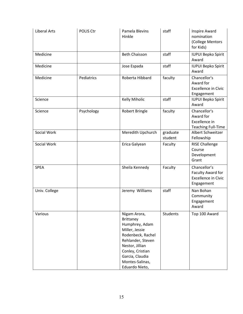| <b>Liberal Arts</b> | POLIS Ctr  | Pamela Blevins<br>Hinkle                                                                                                                                                                                      | staff               | Inspire Award<br>nomination<br>(College Mentors<br>for Kids)                  |
|---------------------|------------|---------------------------------------------------------------------------------------------------------------------------------------------------------------------------------------------------------------|---------------------|-------------------------------------------------------------------------------|
| Medicine            |            | <b>Beth Chaisson</b>                                                                                                                                                                                          | staff               | <b>IUPUI Bepko Spirit</b><br>Award                                            |
| Medicine            |            | Jose Espada                                                                                                                                                                                                   | staff               | <b>IUPUI Bepko Spirit</b><br>Award                                            |
| Medicine            | Pediatrics | Roberta Hibbard                                                                                                                                                                                               | faculty             | Chancellor's<br>Award for<br><b>Excellence in Civic</b><br>Engagement         |
| Science             |            | Kelly Miholic                                                                                                                                                                                                 | staff               | <b>IUPUI Bepko Spirit</b><br>Award                                            |
| Science             | Psychology | <b>Robert Bringle</b>                                                                                                                                                                                         | faculty             | Chancellor's<br>Award for<br>Excellence in<br><b>Teaching Full-Time</b>       |
| Social Work         |            | Meredith Upchurch                                                                                                                                                                                             | graduate<br>student | Albert Schweitzer<br>Fellowship                                               |
| Social Work         |            | Erica Galyean                                                                                                                                                                                                 | Faculty             | <b>RISE Challenge</b><br>Course<br>Development<br>Grant                       |
| <b>SPEA</b>         |            | Sheila Kennedy                                                                                                                                                                                                | Faculty             | Chancellor's<br>Faculty Award for<br><b>Excellence in Civic</b><br>Engagement |
| Univ. College       |            | Jeremy Williams                                                                                                                                                                                               | staff               | Nan Bohan<br>Community<br>Engagement<br>Award                                 |
| Various             |            | Nigam Arora,<br><b>Brittaney</b><br>Humphrey, Adam<br>Miller, Jessie<br>Rodenbeck, Rachel<br>Rehlander, Steven<br>Nestor, Jillian<br>Conley, Cristian<br>Garcia, Claudia<br>Montes-Salinas,<br>Eduardo Nieto, | <b>Students</b>     | Top 100 Award                                                                 |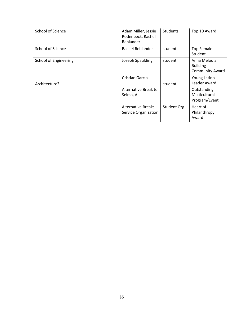| School of Science            | Adam Miller, Jessie<br>Rodenbeck, Rachel<br>Rehlander | <b>Students</b> | Top 10 Award                                              |
|------------------------------|-------------------------------------------------------|-----------------|-----------------------------------------------------------|
| School of Science            | Rachel Rehlander                                      | student         | <b>Top Female</b><br>Student                              |
| <b>School of Engineering</b> | Joseph Spaulding                                      | student         | Anna Melodia<br><b>Building</b><br><b>Community Award</b> |
| Architecture?                | Cristian Garcia                                       | student         | Young Latino<br>Leader Award                              |
|                              | Alternative Break to<br>Selma, AL                     |                 | Outstanding<br>Multicultural<br>Program/Event             |
|                              | <b>Alternative Breaks</b><br>Service Organization     | Student Org.    | Heart of<br>Philanthropy<br>Award                         |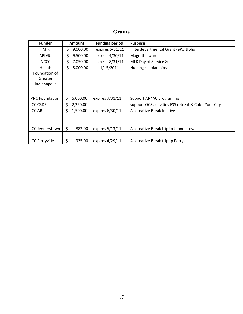## **Grants**

| <b>Funder</b>          | <b>Amount</b>   | <b>Funding period</b> | <b>Purpose</b>                                       |
|------------------------|-----------------|-----------------------|------------------------------------------------------|
| <b>IMIR</b>            | \$<br>9,000.00  | expires 6/31/11       | Interdepartmental Grant (ePortfolio)                 |
| APLGU                  | \$<br>9,500.00  | expires 4/30/11       | Magrath award                                        |
| <b>NCCC</b>            | \$<br>7,050.00  | expires 8/31/11       | MLK Day of Service &                                 |
| <b>Health</b>          | \$<br>5,000.00  | 1/15/2011             | Nursing scholarships                                 |
| Foundation of          |                 |                       |                                                      |
| Greater                |                 |                       |                                                      |
| Indianapolis           |                 |                       |                                                      |
|                        |                 |                       |                                                      |
| <b>PNC Foundation</b>  | \$<br>5,000.00  | expires 7/31/11       | Support AR*AC programing                             |
| <b>ICC CSDE</b>        | 2,250.00<br>Ś.  |                       | support OCS activities FSS retreat & Color Your City |
| <b>ICC ABI</b>         | \$.<br>1,500.00 | expires 6/30/11       | Alternative Break Injative                           |
| <b>ICC Jennerstown</b> | \$<br>882.00    | expires 5/13/11       | Alternative Break trip to Jennerstown                |
|                        |                 |                       |                                                      |
| <b>ICC Perryville</b>  | \$<br>925.00    | expires 4/29/11       | Alternative Break trip tp Perryville                 |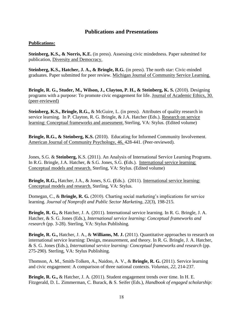#### **Publications and Presentations**

#### **Publications:**

**Steinberg, K.S., & Norris, K.E.** (in press). Assessing civic mindedness. Paper submitted for publication, Diversity and Democracy.

**Steinberg, K.S., Hatcher, J. A., & Bringle, R.G.** (in press). The north star: Civic-minded graduates. Paper submitted for peer review. Michigan Journal of Community Service Learning.

**Bringle, R. G., Studer, M., Wilson, J., Clayton, P. H., & Steinberg, K. S.** (2010). Designing programs with a purpose: To promote civic engagement for life. Journal of Academic Ethics, 30. (peer-reviewed)

**Steinberg, K.S., Bringle, R.G.,** & McGuire, L. (in press). Attributes of quality research in service learning. In P. Clayton, R. G. Bringle, & J.A. Hatcher (Eds.). Research on service learning: Conceptual frameworks and assessment. Sterling, VA: Stylus. (Edited volume)

**Bringle, R.G., & Steinberg, K.S.** (2010). Educating for Informed Community Involvement. American Journal of Community Psychology, 46, 428-441. (Peer-reviewed).

Jones, S.G. & **Steinberg,** K.S. (2011). An Analysis of International Service Learning Programs. In R.G. Bringle, J.A. Hatcher, & S.G. Jones, S.G. **(**Eds.). International service learning: Conceptual models and research. Sterling, VA: Stylus. (Edited volume)

**Bringle, R.G.,** Hatcher, J.A., & Jones, S.G. **(**Eds.). (2011). International service learning: Conceptual models and research. Sterling, VA: Stylus.

Domegan, C., & **Bringle, R. G.** (2010). Charting social marketing's implications for service learning. *Journal of Nonprofit and Public Sector Marketing*, *22*(3), 198-215.

**Bringle, R. G.,** & Hatcher, J. A. (2011). International service learning. In R. G. Bringle, J. A. Hatcher, & S. G. Jones (Eds.), *International service learning: Conceptual frameworks and research* (pp. 3-28). Sterling, VA: Stylus Publishing.

**Bringle, R. G.,** Hatcher, J. A., & **Williams, M. J.** (2011). Quantitative approaches to research on international service learning: Design, measurement, and theory. In R. G. Bringle, J. A. Hatcher, & S. G. Jones (Eds.), *International service learning: Conceptual frameworks and research* (pp. 275-290). Sterling, VA: Stylus Publishing.

Thomson, A. M., Smith-Tolken, A., Naidoo, A. V., & **Bringle, R. G.** (2011). Service learning and civic engagement: A comparison of three national contexts. *Voluntas, 22*, 214-237.

**Bringle, R. G.,** & Hatcher, J. A. (2011). Student engagement trends over time. In H. E. Fitzgerald, D. L. Zimmerman, C. Burack, & S. Seifer (Eds.), *Handbook of engaged scholarship:*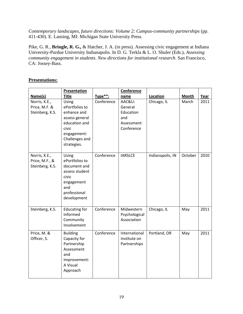*Contemporary landscapes, future directions: Volume 2: Campus-community partnerships (pp.* 411-430). E. Lansing, MI: Michigan State University Press.

Pike, G. R., **Bringle, R. G.,** & Hatcher, J. A. (in press). Assessing civic engagement at Indiana University-Purdue University Indianapolis. In D. G. Terkla & L. O. Shuler (Eds.), *Assessing community engagement in students*. *New directions for institutional research*. San Francisco, CA: Jossey-Bass.

#### **Presentations:**

|                                                    | <b>Presentation</b>                                                                                                                |            | Conference                                                        |                  |              |      |
|----------------------------------------------------|------------------------------------------------------------------------------------------------------------------------------------|------------|-------------------------------------------------------------------|------------------|--------------|------|
| Name(s)                                            | <b>Title</b>                                                                                                                       | Type**:    | name                                                              | Location         | <b>Month</b> | Year |
| Norris, K.E.,<br>Price, M.F. &<br>Steinberg, K.S.  | Using<br>ePortfolios to<br>enhance and<br>assess general<br>education and<br>civic<br>engagement:<br>Challenges and<br>strategies. | Conference | AAC&U:<br>General<br>Education<br>and<br>Assessment<br>Conference | Chicago, IL      | March        | 2011 |
| Norris, K.E.,<br>Price, M.F., &<br>Steinberg, K.S. | Using<br>ePortfolios to<br>document and<br>assess student<br>civic<br>engagement<br>and<br>professional<br>development             | Conference | <b>IARSLCE</b>                                                    | Indianapolis, IN | October      | 2010 |
| Steinberg, K.S.                                    | <b>Educating for</b><br>Informed<br>Community<br>Involvement                                                                       | Conference | Midwestern<br>Psychological<br>Association                        | Chicago, IL      | May          | 2011 |
| Price, M. &<br>Officer, S.                         | <b>Building</b><br>Capacity for<br>Partnership<br>Assessment<br>and<br>Improvement:<br>A Visual<br>Approach                        | Conference | International<br>Institute on<br>Partnerships                     | Portland, OR     | May          | 2011 |